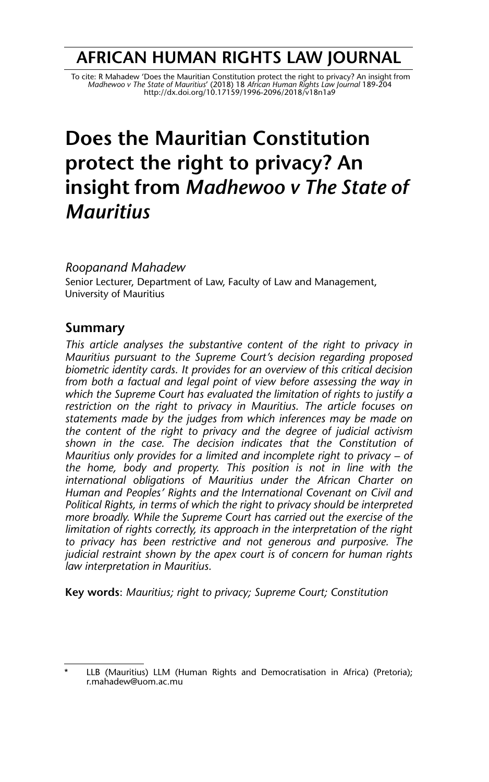## **AFRICAN HUMAN RIGHTS LAW JOURNAL**

To cite: R Mahadew 'Does the Mauritian Constitution protect the right to privacy? An insight from<br>Madhewoo v The State of Mauritius' (2018) 18 African Human Rights Law Journal 189-204<br>http://dx.doi.org/10.17159/1996-2096/2

# **Does the Mauritian Constitution protect the right to privacy? An insight from** *Madhewoo v The State of Mauritius*

*Roopanand Mahadew*

Senior Lecturer, Department of Law, Faculty of Law and Management, University of Mauritius

## **Summary**

*This article analyses the substantive content of the right to privacy in Mauritius pursuant to the Supreme Court's decision regarding proposed biometric identity cards. It provides for an overview of this critical decision from both a factual and legal point of view before assessing the way in which the Supreme Court has evaluated the limitation of rights to justify a restriction on the right to privacy in Mauritius. The article focuses on statements made by the judges from which inferences may be made on the content of the right to privacy and the degree of judicial activism shown in the case. The decision indicates that the Constitution of Mauritius only provides for a limited and incomplete right to privacy – of the home, body and property. This position is not in line with the international obligations of Mauritius under the African Charter on Human and Peoples' Rights and the International Covenant on Civil and Political Rights, in terms of which the right to privacy should be interpreted more broadly. While the Supreme Court has carried out the exercise of the limitation of rights correctly, its approach in the interpretation of the right to privacy has been restrictive and not generous and purposive. The judicial restraint shown by the apex court is of concern for human rights law interpretation in Mauritius.* 

**Key words**: *Mauritius; right to privacy; Supreme Court; Constitution*

LLB (Mauritius) LLM (Human Rights and Democratisation in Africa) (Pretoria); r.mahadew@uom.ac.mu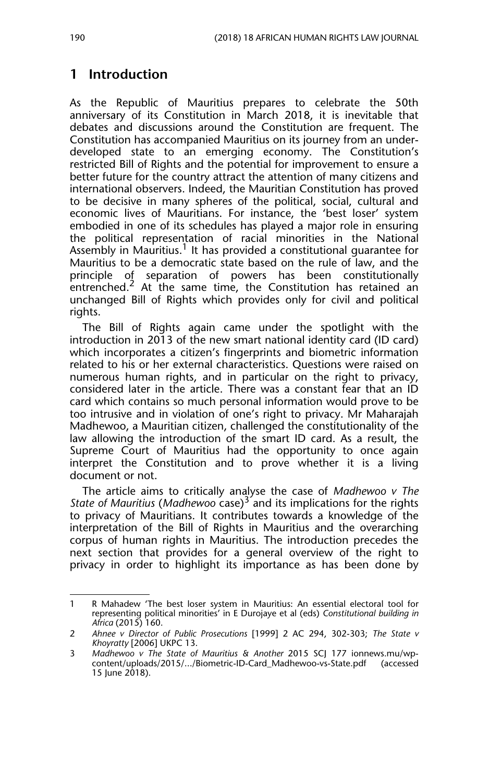## **1 Introduction**

As the Republic of Mauritius prepares to celebrate the 50th anniversary of its Constitution in March 2018, it is inevitable that debates and discussions around the Constitution are frequent. The Constitution has accompanied Mauritius on its journey from an underdeveloped state to an emerging economy. The Constitution's restricted Bill of Rights and the potential for improvement to ensure a better future for the country attract the attention of many citizens and international observers. Indeed, the Mauritian Constitution has proved to be decisive in many spheres of the political, social, cultural and economic lives of Mauritians. For instance, the 'best loser' system embodied in one of its schedules has played a major role in ensuring the political representation of racial minorities in the National Assembly in Mauritius.<sup>1</sup> It has provided a constitutional guarantee for Mauritius to be a democratic state based on the rule of law, and the principle of separation of powers has been constitutionally entrenched.<sup>2</sup> At the same time, the Constitution has retained an unchanged Bill of Rights which provides only for civil and political rights.

The Bill of Rights again came under the spotlight with the introduction in 2013 of the new smart national identity card (ID card) which incorporates a citizen's fingerprints and biometric information related to his or her external characteristics. Questions were raised on numerous human rights, and in particular on the right to privacy, considered later in the article. There was a constant fear that an ID card which contains so much personal information would prove to be too intrusive and in violation of one's right to privacy. Mr Maharajah Madhewoo, a Mauritian citizen, challenged the constitutionality of the law allowing the introduction of the smart ID card. As a result, the Supreme Court of Mauritius had the opportunity to once again interpret the Constitution and to prove whether it is a living document or not.

The article aims to critically analyse the case of *Madhewoo v The State of Mauritius* (*Madhewoo* case)3 and its implications for the rights to privacy of Mauritians. It contributes towards a knowledge of the interpretation of the Bill of Rights in Mauritius and the overarching corpus of human rights in Mauritius. The introduction precedes the next section that provides for a general overview of the right to privacy in order to highlight its importance as has been done by

<sup>1</sup> R Mahadew 'The best loser system in Mauritius: An essential electoral tool for representing political minorities' in E Durojaye et al (eds) *Constitutional building in Africa* (2015) 160.

<sup>2</sup> *Ahnee v Director of Public Prosecutions* [1999] 2 AC 294, 302-303; *The State v Khoyratty* [2006] UKPC 13.

<sup>3</sup> *Madhewoo v The State of Mauritius & Another* 2015 SCJ 177 ionnews.mu/wpcontent/uploads/2015/.../Biometric-ID-Card\_Madhewoo-vs-State.pdf (accessed 15 June 2018).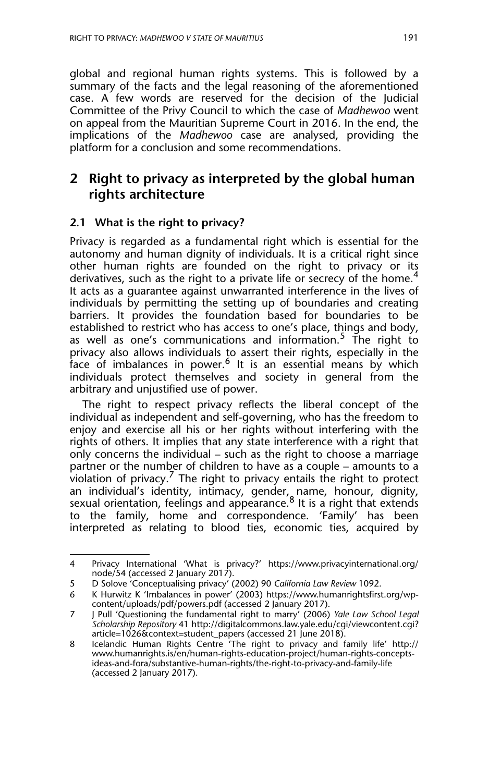global and regional human rights systems. This is followed by a summary of the facts and the legal reasoning of the aforementioned case. A few words are reserved for the decision of the Judicial Committee of the Privy Council to which the case of *Madhewoo* went on appeal from the Mauritian Supreme Court in 2016. In the end, the implications of the *Madhewoo* case are analysed, providing the platform for a conclusion and some recommendations.

## **2 Right to privacy as interpreted by the global human rights architecture**

#### **2.1 What is the right to privacy?**

Privacy is regarded as a fundamental right which is essential for the autonomy and human dignity of individuals. It is a critical right since other human rights are founded on the right to privacy or its derivatives, such as the right to a private life or secrecy of the home.<sup>4</sup> It acts as a guarantee against unwarranted interference in the lives of individuals by permitting the setting up of boundaries and creating barriers. It provides the foundation based for boundaries to be established to restrict who has access to one's place, things and body, as well as one's communications and information.<sup>5</sup> The right to privacy also allows individuals to assert their rights, especially in the face of imbalances in power.<sup>6</sup> It is an essential means by which individuals protect themselves and society in general from the arbitrary and unjustified use of power.

The right to respect privacy reflects the liberal concept of the individual as independent and self-governing, who has the freedom to enjoy and exercise all his or her rights without interfering with the rights of others. It implies that any state interference with a right that only concerns the individual – such as the right to choose a marriage partner or the number of children to have as a couple – amounts to a violation of privacy.<sup>7</sup> The right to privacy entails the right to protect an individual's identity, intimacy, gender, name, honour, dignity, sexual orientation, feelings and appearance.<sup>8</sup> It is a right that extends to the family, home and correspondence. 'Family' has been interpreted as relating to blood ties, economic ties, acquired by

<sup>4</sup> Privacy International 'What is privacy?' https://www.privacyinternational.org/ node/54 (accessed 2 January 2017).

<sup>5</sup> D Solove 'Conceptualising privacy' (2002) 90 *California Law Review* 1092.

<sup>6</sup> K Hurwitz K 'Imbalances in power' (2003) https://www.humanrightsfirst.org/wpcontent/uploads/pdf/powers.pdf (accessed 2 January 2017).

<sup>7</sup> J Pull 'Questioning the fundamental right to marry' (2006) *Yale Law School Legal Scholarship Repository* 41 http://digitalcommons.law.yale.edu/cgi/viewcontent.cgi? article=1026&context=student\_papers (accessed 21 June 2018).

<sup>8</sup> Icelandic Human Rights Centre 'The right to privacy and family life' http:// www.humanrights.is/en/human-rights-education-project/human-rights-conceptsideas-and-fora/substantive-human-rights/the-right-to-privacy-and-family-life (accessed 2 January 2017).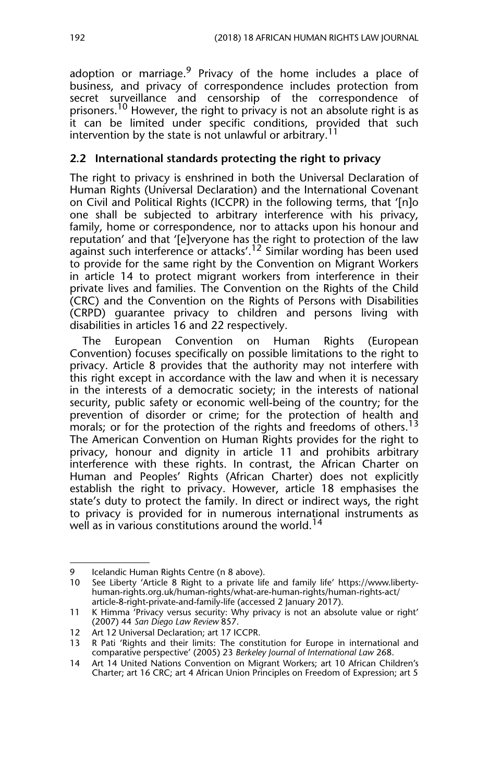adoption or marriage.<sup>9</sup> Privacy of the home includes a place of business, and privacy of correspondence includes protection from secret surveillance and censorship of the correspondence of prisoners.<sup>10</sup> However, the right to privacy is not an absolute right is as it can be limited under specific conditions, provided that such intervention by the state is not unlawful or arbitrary.<sup>1</sup>

#### **2.2 International standards protecting the right to privacy**

The right to privacy is enshrined in both the Universal Declaration of Human Rights (Universal Declaration) and the International Covenant on Civil and Political Rights (ICCPR) in the following terms, that '[n]o one shall be subjected to arbitrary interference with his privacy, family, home or correspondence, nor to attacks upon his honour and reputation' and that '[e]veryone has the right to protection of the law against such interference or attacks'.<sup>12</sup> Similar wording has been used to provide for the same right by the Convention on Migrant Workers in article 14 to protect migrant workers from interference in their private lives and families. The Convention on the Rights of the Child (CRC) and the Convention on the Rights of Persons with Disabilities (CRPD) guarantee privacy to children and persons living with disabilities in articles 16 and 22 respectively.

The European Convention on Human Rights (European Convention) focuses specifically on possible limitations to the right to privacy. Article 8 provides that the authority may not interfere with this right except in accordance with the law and when it is necessary in the interests of a democratic society; in the interests of national security, public safety or economic well-being of the country; for the prevention of disorder or crime; for the protection of health and morals; or for the protection of the rights and freedoms of others.<sup>13</sup> The American Convention on Human Rights provides for the right to privacy, honour and dignity in article 11 and prohibits arbitrary interference with these rights. In contrast, the African Charter on Human and Peoples' Rights (African Charter) does not explicitly establish the right to privacy. However, article 18 emphasises the state's duty to protect the family. In direct or indirect ways, the right to privacy is provided for in numerous international instruments as well as in various constitutions around the world.<sup>14</sup>

<sup>9</sup> Icelandic Human Rights Centre (n 8 above).<br>10 See Liberty 'Article 8 Right to a private life

See Liberty 'Article 8 Right to a private life and family life' https://www.libertyhuman-rights.org.uk/human-rights/what-are-human-rights/human-rights-act/ article-8-right-private-and-family-life (accessed 2 January 2017).

<sup>11</sup> K Himma 'Privacy versus security: Why privacy is not an absolute value or right' (2007) 44 *San Diego Law Review* 857.

<sup>12</sup> Art 12 Universal Declaration; art 17 ICCPR.

<sup>13</sup> R Pati 'Rights and their limits: The constitution for Europe in international and comparative perspective' (2005) 23 *Berkeley Journal of International Law* 268.

<sup>14</sup> Art 14 United Nations Convention on Migrant Workers; art 10 African Children's Charter; art 16 CRC; art 4 African Union Principles on Freedom of Expression; art 5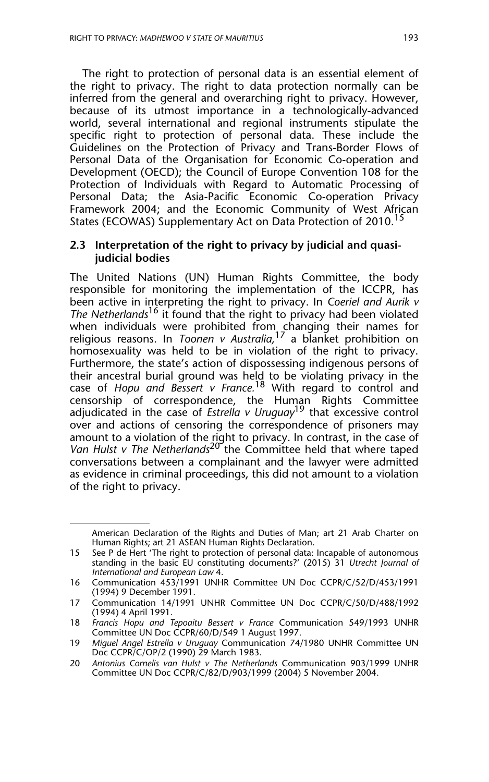The right to protection of personal data is an essential element of the right to privacy. The right to data protection normally can be inferred from the general and overarching right to privacy. However, because of its utmost importance in a technologically-advanced world, several international and regional instruments stipulate the specific right to protection of personal data. These include the Guidelines on the Protection of Privacy and Trans-Border Flows of Personal Data of the Organisation for Economic Co-operation and Development (OECD); the Council of Europe Convention 108 for the Protection of Individuals with Regard to Automatic Processing of Personal Data; the Asia-Pacific Economic Co-operation Privacy Framework 2004; and the Economic Community of West African States (ECOWAS) Supplementary Act on Data Protection of 2010.<sup>15</sup>

#### **2.3 Interpretation of the right to privacy by judicial and quasijudicial bodies**

The United Nations (UN) Human Rights Committee, the body responsible for monitoring the implementation of the ICCPR, has been active in interpreting the right to privacy. In *Coeriel and Aurik v The Netherlands*<sup>16</sup> it found that the right to privacy had been violated when individuals were prohibited from changing their names for religious reasons. In *Toonen v Australia,*<sup>17</sup> a blanket prohibition on homosexuality was held to be in violation of the right to privacy. Furthermore, the state's action of dispossessing indigenous persons of their ancestral burial ground was held to be violating privacy in the case of *Hopu and Bessert v France.*<sup>18</sup> With regard to control and censorship of correspondence, the Human Rights Committee adjudicated in the case of *Estrella v Uruguay*19 that excessive control over and actions of censoring the correspondence of prisoners may amount to a violation of the right to privacy. In contrast, in the case of *Van Hulst v The Netherlands*<sup>20</sup> the Committee held that where taped conversations between a complainant and the lawyer were admitted as evidence in criminal proceedings, this did not amount to a violation of the right to privacy.

American Declaration of the Rights and Duties of Man; art 21 Arab Charter on Human Rights; art 21 ASEAN Human Rights Declaration.

<sup>15</sup> See P de Hert 'The right to protection of personal data: Incapable of autonomous standing in the basic EU constituting documents?' (2015) 31 *Utrecht Journal of International and European Law* 4.

<sup>16</sup> Communication 453/1991 UNHR Committee UN Doc CCPR/C/52/D/453/1991 (1994) 9 December 1991.

<sup>17</sup> Communication 14/1991 UNHR Committee UN Doc CCPR/C/50/D/488/1992 (1994) 4 April 1991.

<sup>18</sup> *Francis Hopu and Tepoaitu Bessert v France* Communication 549/1993 UNHR Committee UN Doc CCPR/60/D/549 1 August 1997.

<sup>19</sup> *Miguel Angel Estrella v Uruguay* Communication 74/1980 UNHR Committee UN Doc CCPR/C/OP/2 (1990) 29 March 1983.

<sup>20</sup> *Antonius Cornelis van Hulst v The Netherlands* Communication 903/1999 UNHR Committee UN Doc CCPR/C/82/D/903/1999 (2004) 5 November 2004.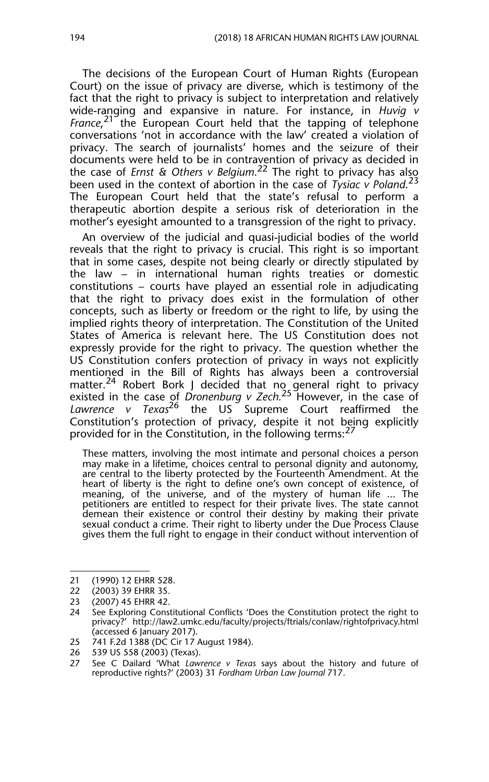The decisions of the European Court of Human Rights (European Court) on the issue of privacy are diverse, which is testimony of the fact that the right to privacy is subject to interpretation and relatively wide-ranging and expansive in nature. For instance, in *Huvig v* France,<sup>21</sup> the European Court held that the tapping of telephone conversations 'not in accordance with the law' created a violation of privacy. The search of journalists' homes and the seizure of their documents were held to be in contravention of privacy as decided in the case of *Ernst & Others v Belgium*.<sup>22</sup> The right to privacy has also been used in the context of abortion in the case of *Tysiac v Poland*. 23 The European Court held that the state's refusal to perform a therapeutic abortion despite a serious risk of deterioration in the mother's eyesight amounted to a transgression of the right to privacy.

An overview of the judicial and quasi-judicial bodies of the world reveals that the right to privacy is crucial. This right is so important that in some cases, despite not being clearly or directly stipulated by the law – in international human rights treaties or domestic constitutions – courts have played an essential role in adjudicating that the right to privacy does exist in the formulation of other concepts, such as liberty or freedom or the right to life, by using the implied rights theory of interpretation. The Constitution of the United States of America is relevant here. The US Constitution does not expressly provide for the right to privacy. The question whether the US Constitution confers protection of privacy in ways not explicitly mentioned in the Bill of Rights has always been a controversial matter.<sup>24</sup> Robert Bork J decided that no general right to privacy existed in the case of *Dronenburg v Zech.*<sup>25</sup> However, in the case of *Lawrence v Texas*26 the US Supreme Court reaffirmed the Constitution's protection of privacy, despite it not being explicitly provided for in the Constitution, in the following terms:<sup>27</sup>

These matters, involving the most intimate and personal choices a person may make in a lifetime, choices central to personal dignity and autonomy, are central to the liberty protected by the Fourteenth Amendment. At the heart of liberty is the right to define one's own concept of existence, of meaning, of the universe, and of the mystery of human life ... The petitioners are entitled to respect for their private lives. The state cannot demean their existence or control their destiny by making their private sexual conduct a crime. Their right to liberty under the Due Process Clause gives them the full right to engage in their conduct without intervention of

<sup>21 (1990) 12</sup> EHRR 528.

<sup>22 (2003) 39</sup> EHRR 35.

<sup>23 (2007) 45</sup> EHRR 42.

<sup>24</sup> See Exploring Constitutional Conflicts 'Does the Constitution protect the right to privacy?' http://law2.umkc.edu/faculty/projects/ftrials/conlaw/rightofprivacy.html (accessed 6 January 2017).

<sup>25 741</sup> F.2d 1388 (DC Cir 17 August 1984).

<sup>26 539</sup> US 558 (2003) (Texas).<br>27 See C Dailard 'What Lawi

<sup>27</sup> See C Dailard 'What *Lawrence v Texas* says about the history and future of reproductive rights?' (2003) 31 *Fordham Urban Law Journal* 717.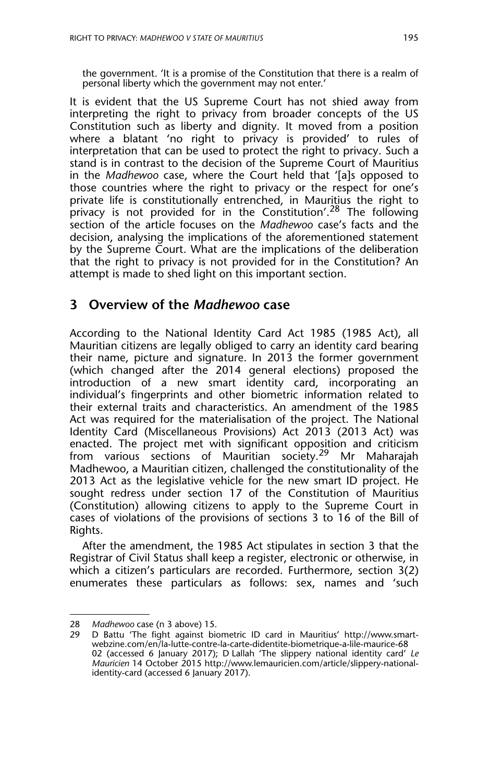the government. 'It is a promise of the Constitution that there is a realm of personal liberty which the government may not enter.'

It is evident that the US Supreme Court has not shied away from interpreting the right to privacy from broader concepts of the US Constitution such as liberty and dignity. It moved from a position where a blatant 'no right to privacy is provided' to rules of interpretation that can be used to protect the right to privacy. Such a stand is in contrast to the decision of the Supreme Court of Mauritius in the *Madhewoo* case, where the Court held that '[a]s opposed to those countries where the right to privacy or the respect for one's private life is constitutionally entrenched, in Mauritius the right to privacy is not provided for in the Constitution'.<sup>28</sup> The following section of the article focuses on the *Madhewoo* case's facts and the decision, analysing the implications of the aforementioned statement by the Supreme Court. What are the implications of the deliberation that the right to privacy is not provided for in the Constitution? An attempt is made to shed light on this important section.

#### **3 Overview of the** *Madhewoo* **case**

According to the National Identity Card Act 1985 (1985 Act), all Mauritian citizens are legally obliged to carry an identity card bearing their name, picture and signature. In 2013 the former government (which changed after the 2014 general elections) proposed the introduction of a new smart identity card, incorporating an individual's fingerprints and other biometric information related to their external traits and characteristics. An amendment of the 1985 Act was required for the materialisation of the project. The National Identity Card (Miscellaneous Provisions) Act 2013 (2013 Act) was enacted. The project met with significant opposition and criticism from various sections of Mauritian society.<sup>29</sup> Mr Maharajah Madhewoo, a Mauritian citizen, challenged the constitutionality of the 2013 Act as the legislative vehicle for the new smart ID project. He sought redress under section 17 of the Constitution of Mauritius (Constitution) allowing citizens to apply to the Supreme Court in cases of violations of the provisions of sections 3 to 16 of the Bill of Rights.

After the amendment, the 1985 Act stipulates in section 3 that the Registrar of Civil Status shall keep a register, electronic or otherwise, in which a citizen's particulars are recorded. Furthermore, section 3(2) enumerates these particulars as follows: sex, names and 'such

<sup>28</sup> *Madhewoo* case (n 3 above) 15.

D Battu 'The fight against biometric ID card in Mauritius' http://www.smartwebzine.com/en/la-lutte-contre-la-carte-didentite-biometrique-a-lile-maurice-68 02 (accessed 6 January 2017); D Lallah 'The slippery national identity card' *Le Mauricien* 14 October 2015 http://www.lemauricien.com/article/slippery-nationalidentity-card (accessed 6 January 2017).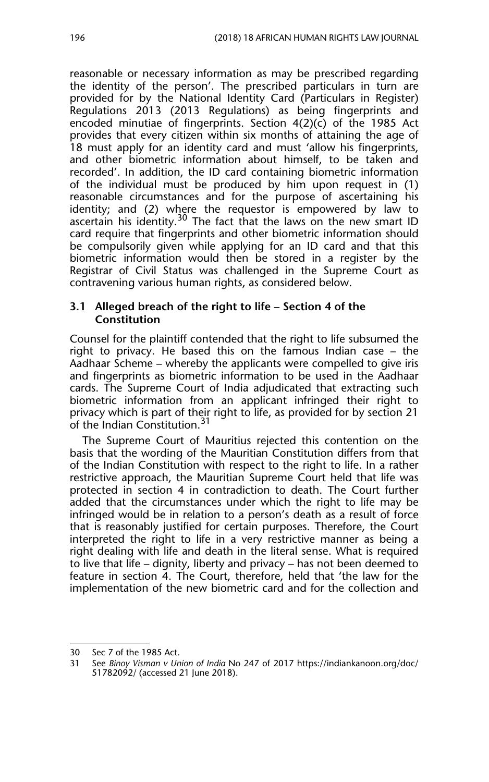reasonable or necessary information as may be prescribed regarding the identity of the person'. The prescribed particulars in turn are provided for by the National Identity Card (Particulars in Register) Regulations 2013 (2013 Regulations) as being fingerprints and encoded minutiae of fingerprints. Section 4(2)(c) of the 1985 Act provides that every citizen within six months of attaining the age of 18 must apply for an identity card and must 'allow his fingerprints, and other biometric information about himself, to be taken and recorded'. In addition, the ID card containing biometric information of the individual must be produced by him upon request in (1) reasonable circumstances and for the purpose of ascertaining his identity; and (2) where the requestor is empowered by law to ascertain his identity.<sup>30</sup> The fact that the laws on the new smart ID card require that fingerprints and other biometric information should be compulsorily given while applying for an ID card and that this biometric information would then be stored in a register by the Registrar of Civil Status was challenged in the Supreme Court as contravening various human rights, as considered below.

#### **3.1 Alleged breach of the right to life – Section 4 of the Constitution**

Counsel for the plaintiff contended that the right to life subsumed the right to privacy. He based this on the famous Indian case – the Aadhaar Scheme – whereby the applicants were compelled to give iris and fingerprints as biometric information to be used in the Aadhaar cards. The Supreme Court of India adjudicated that extracting such biometric information from an applicant infringed their right to privacy which is part of their right to life, as provided for by section 21 of the Indian Constitution.<sup>31</sup>

The Supreme Court of Mauritius rejected this contention on the basis that the wording of the Mauritian Constitution differs from that of the Indian Constitution with respect to the right to life. In a rather restrictive approach, the Mauritian Supreme Court held that life was protected in section 4 in contradiction to death. The Court further added that the circumstances under which the right to life may be infringed would be in relation to a person's death as a result of force that is reasonably justified for certain purposes. Therefore, the Court interpreted the right to life in a very restrictive manner as being a right dealing with life and death in the literal sense. What is required to live that life – dignity, liberty and privacy – has not been deemed to feature in section 4. The Court, therefore, held that 'the law for the implementation of the new biometric card and for the collection and

<sup>30</sup> Sec 7 of the 1985 Act.<br>31 See Rinov Visman v Un

<sup>31</sup> See *Binoy Visman v Union of India* No 247 of 2017 https://indiankanoon.org/doc/ 51782092/ (accessed 21 June 2018).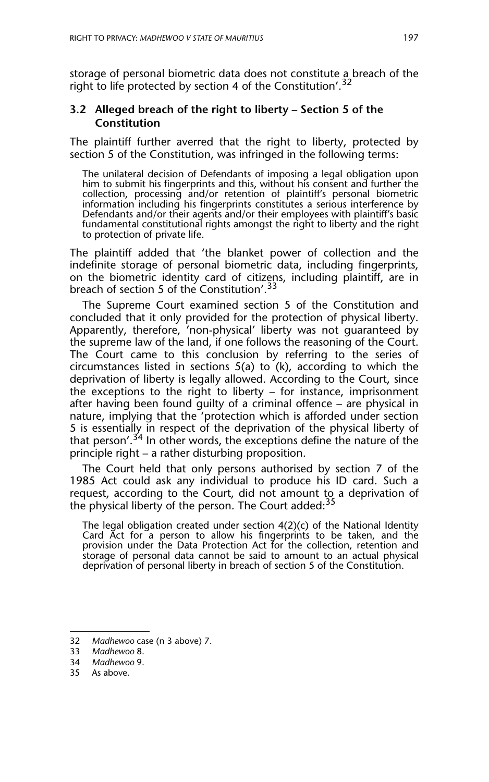storage of personal biometric data does not constitute a breach of the right to life protected by section 4 of the Constitution'.<sup>32</sup>

#### **3.2 Alleged breach of the right to liberty – Section 5 of the Constitution**

The plaintiff further averred that the right to liberty, protected by section 5 of the Constitution, was infringed in the following terms:

The unilateral decision of Defendants of imposing a legal obligation upon him to submit his fingerprints and this, without his consent and further the collection, processing and/or retention of plaintiff's personal biometric information including his fingerprints constitutes a serious interference by Defendants and/or their agents and/or their employees with plaintiff's basic fundamental constitutional rights amongst the right to liberty and the right to protection of private life.

The plaintiff added that 'the blanket power of collection and the indefinite storage of personal biometric data, including fingerprints, on the biometric identity card of citizens, including plaintiff, are in breach of section 5 of the Constitution'.<sup>33</sup>

The Supreme Court examined section 5 of the Constitution and concluded that it only provided for the protection of physical liberty. Apparently, therefore, 'non-physical' liberty was not guaranteed by the supreme law of the land, if one follows the reasoning of the Court. The Court came to this conclusion by referring to the series of circumstances listed in sections 5(a) to (k), according to which the deprivation of liberty is legally allowed. According to the Court, since the exceptions to the right to liberty – for instance, imprisonment after having been found guilty of a criminal offence – are physical in nature, implying that the 'protection which is afforded under section 5 is essentially in respect of the deprivation of the physical liberty of that person'.<sup>34</sup> In other words, the exceptions define the nature of the principle right – a rather disturbing proposition.

The Court held that only persons authorised by section 7 of the 1985 Act could ask any individual to produce his ID card. Such a request, according to the Court, did not amount to a deprivation of the physical liberty of the person. The Court added:  $35$ 

The legal obligation created under section 4(2)(c) of the National Identity Card Act for a person to allow his fingerprints to be taken, and the provision under the Data Protection Act for the collection, retention and storage of personal data cannot be said to amount to an actual physical deprivation of personal liberty in breach of section 5 of the Constitution.

- 34 *Madhewoo* 9.
- 35 As above.

<sup>32</sup> *Madhewoo* case (n 3 above) 7.

<sup>33</sup> *Madhewoo* 8.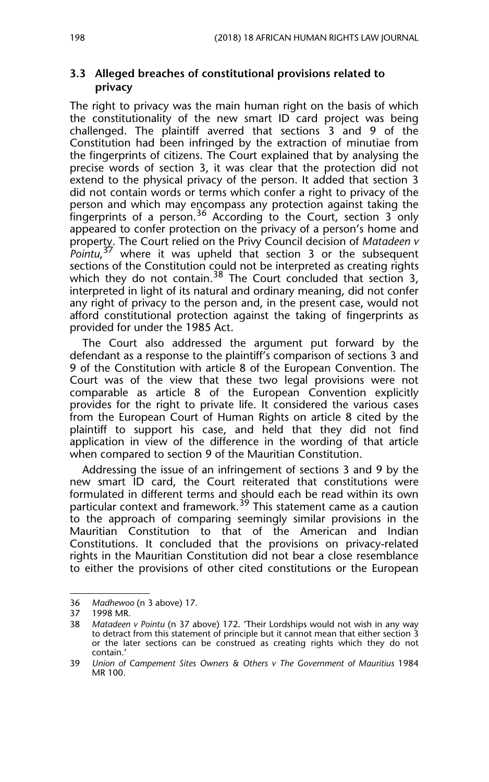#### **3.3 Alleged breaches of constitutional provisions related to privacy**

The right to privacy was the main human right on the basis of which the constitutionality of the new smart ID card project was being challenged. The plaintiff averred that sections 3 and 9 of the Constitution had been infringed by the extraction of minutiae from the fingerprints of citizens. The Court explained that by analysing the precise words of section 3, it was clear that the protection did not extend to the physical privacy of the person. It added that section 3 did not contain words or terms which confer a right to privacy of the person and which may encompass any protection against taking the fingerprints of a person.<sup>36</sup> According to the Court, section 3 only appeared to confer protection on the privacy of a person's home and property. The Court relied on the Privy Council decision of *Matadeen v Pointu*, 37 where it was upheld that section 3 or the subsequent sections of the Constitution could not be interpreted as creating rights which they do not contain.<sup>38</sup> The Court concluded that section 3, interpreted in light of its natural and ordinary meaning, did not confer any right of privacy to the person and, in the present case, would not afford constitutional protection against the taking of fingerprints as provided for under the 1985 Act.

The Court also addressed the argument put forward by the defendant as a response to the plaintiff's comparison of sections 3 and 9 of the Constitution with article 8 of the European Convention. The Court was of the view that these two legal provisions were not comparable as article 8 of the European Convention explicitly provides for the right to private life. It considered the various cases from the European Court of Human Rights on article 8 cited by the plaintiff to support his case, and held that they did not find application in view of the difference in the wording of that article when compared to section 9 of the Mauritian Constitution.

Addressing the issue of an infringement of sections 3 and 9 by the new smart ID card, the Court reiterated that constitutions were formulated in different terms and should each be read within its own particular context and framework.<sup>39</sup> This statement came as a caution to the approach of comparing seemingly similar provisions in the Mauritian Constitution to that of the American and Indian Constitutions. It concluded that the provisions on privacy-related rights in the Mauritian Constitution did not bear a close resemblance to either the provisions of other cited constitutions or the European

<sup>36</sup> *Madhewoo* (n 3 above) 17.

<sup>37 1998</sup> MR.

<sup>38</sup> *Matadeen v Pointu* (n 37 above) 172. 'Their Lordships would not wish in any way to detract from this statement of principle but it cannot mean that either section 3 or the later sections can be construed as creating rights which they do not contain.'

<sup>39</sup> *Union of Campement Sites Owners & Others v The Government of Mauritius* 1984 MR 100.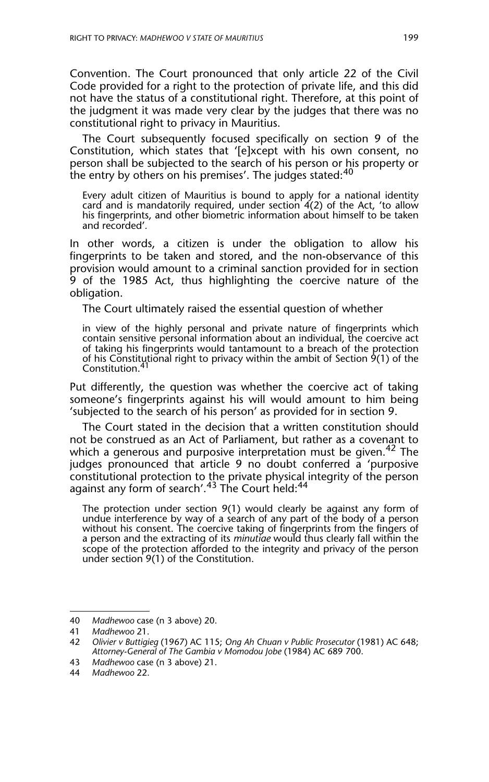Convention. The Court pronounced that only article 22 of the Civil Code provided for a right to the protection of private life, and this did not have the status of a constitutional right. Therefore, at this point of the judgment it was made very clear by the judges that there was no constitutional right to privacy in Mauritius.

The Court subsequently focused specifically on section 9 of the Constitution, which states that '[e]xcept with his own consent, no person shall be subjected to the search of his person or his property or the entry by others on his premises'. The judges stated: $40$ 

Every adult citizen of Mauritius is bound to apply for a national identity card and is mandatorily required, under section  $4(2)$  of the Act, 'to allow his fingerprints, and other biometric information about himself to be taken and recorded'*.* 

In other words, a citizen is under the obligation to allow his fingerprints to be taken and stored, and the non-observance of this provision would amount to a criminal sanction provided for in section 9 of the 1985 Act, thus highlighting the coercive nature of the obligation.

The Court ultimately raised the essential question of whether

in view of the highly personal and private nature of fingerprints which contain sensitive personal information about an individual, the coercive act of taking his fingerprints would tantamount to a breach of the protection of his Constitutional right to privacy within the ambit of Section 9(1) of the Constitution.

Put differently, the question was whether the coercive act of taking someone's fingerprints against his will would amount to him being 'subjected to the search of his person' as provided for in section 9.

The Court stated in the decision that a written constitution should not be construed as an Act of Parliament, but rather as a covenant to which a generous and purposive interpretation must be given.<sup>42</sup> The judges pronounced that article 9 no doubt conferred a 'purposive constitutional protection to the private physical integrity of the person against any form of search'.<sup>43</sup> The Court held:<sup>44</sup>

The protection under section 9(1) would clearly be against any form of undue interference by way of a search of any part of the body of a person without his consent. The coercive taking of fingerprints from the fingers of a person and the extracting of its *minutiae* would thus clearly fall within the scope of the protection afforded to the integrity and privacy of the person under section 9(1) of the Constitution.

<sup>40</sup> *Madhewoo* case (n 3 above) 20.

<sup>41</sup> *Madhewoo* 21.

<sup>42</sup> *Olivier v Buttigieg* (1967) AC 115; *Ong Ah Chuan v Public Prosecutor* (1981) AC 648; *Attorney-General of The Gambia v Momodou Jobe* (1984) AC 689 700.

<sup>43</sup> *Madhewoo* case (n 3 above) 21.

<sup>44</sup> *Madhewoo* 22.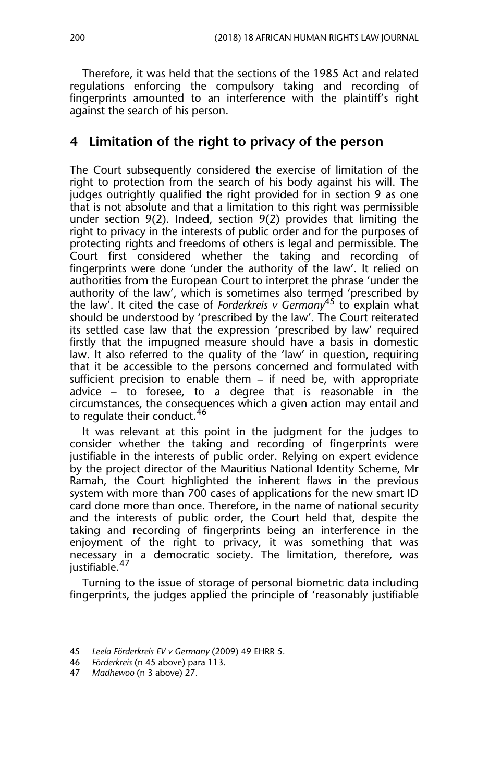Therefore, it was held that the sections of the 1985 Act and related regulations enforcing the compulsory taking and recording of fingerprints amounted to an interference with the plaintiff's right against the search of his person.

### **4 Limitation of the right to privacy of the person**

The Court subsequently considered the exercise of limitation of the right to protection from the search of his body against his will. The judges outrightly qualified the right provided for in section 9 as one that is not absolute and that a limitation to this right was permissible under section 9(2). Indeed, section 9(2) provides that limiting the right to privacy in the interests of public order and for the purposes of protecting rights and freedoms of others is legal and permissible. The Court first considered whether the taking and recording of fingerprints were done 'under the authority of the law'. It relied on authorities from the European Court to interpret the phrase 'under the authority of the law', which is sometimes also termed 'prescribed by the law'. It cited the case of *Forderkreis v Germany*45 to explain what should be understood by 'prescribed by the law'. The Court reiterated its settled case law that the expression 'prescribed by law' required firstly that the impugned measure should have a basis in domestic law. It also referred to the quality of the 'law' in question, requiring that it be accessible to the persons concerned and formulated with sufficient precision to enable them – if need be, with appropriate advice – to foresee, to a degree that is reasonable in the circumstances, the consequences which a given action may entail and to regulate their conduct.<sup>46</sup>

It was relevant at this point in the judgment for the judges to consider whether the taking and recording of fingerprints were justifiable in the interests of public order. Relying on expert evidence by the project director of the Mauritius National Identity Scheme, Mr Ramah, the Court highlighted the inherent flaws in the previous system with more than 700 cases of applications for the new smart ID card done more than once. Therefore, in the name of national security and the interests of public order, the Court held that, despite the taking and recording of fingerprints being an interference in the enjoyment of the right to privacy, it was something that was necessary <u>in</u> a democratic society. The limitation, therefore, was justifiable.<sup>47</sup>

Turning to the issue of storage of personal biometric data including fingerprints, the judges applied the principle of 'reasonably justifiable

<sup>45</sup> *Leela Förderkreis EV v Germany* (2009) 49 EHRR 5.

<sup>46</sup> *Förderkreis* (n 45 above) para 113.

<sup>47</sup> *Madhewoo* (n 3 above) 27.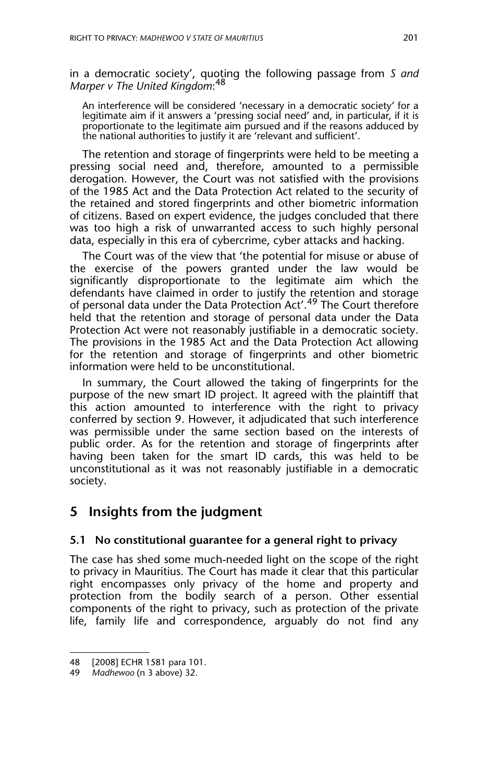in a democratic society', quoting the following passage from *S and Marper v The United Kingdom*: 48

An interference will be considered 'necessary in a democratic society' for a legitimate aim if it answers a 'pressing social need' and, in particular, if it is proportionate to the legitimate aim pursued and if the reasons adduced by the national authorities to justify it are 'relevant and sufficient'.

The retention and storage of fingerprints were held to be meeting a pressing social need and, therefore, amounted to a permissible derogation. However, the Court was not satisfied with the provisions of the 1985 Act and the Data Protection Act related to the security of the retained and stored fingerprints and other biometric information of citizens. Based on expert evidence, the judges concluded that there was too high a risk of unwarranted access to such highly personal data, especially in this era of cybercrime, cyber attacks and hacking.

The Court was of the view that 'the potential for misuse or abuse of the exercise of the powers granted under the law would be significantly disproportionate to the legitimate aim which the defendants have claimed in order to justify the retention and storage of personal data under the Data Protection Act'.49 The Court therefore held that the retention and storage of personal data under the Data Protection Act were not reasonably justifiable in a democratic society. The provisions in the 1985 Act and the Data Protection Act allowing for the retention and storage of fingerprints and other biometric information were held to be unconstitutional.

In summary, the Court allowed the taking of fingerprints for the purpose of the new smart ID project. It agreed with the plaintiff that this action amounted to interference with the right to privacy conferred by section 9. However, it adjudicated that such interference was permissible under the same section based on the interests of public order. As for the retention and storage of fingerprints after having been taken for the smart ID cards, this was held to be unconstitutional as it was not reasonably justifiable in a democratic society.

## **5 Insights from the judgment**

#### **5.1 No constitutional guarantee for a general right to privacy**

The case has shed some much-needed light on the scope of the right to privacy in Mauritius. The Court has made it clear that this particular right encompasses only privacy of the home and property and protection from the bodily search of a person. Other essential components of the right to privacy, such as protection of the private life, family life and correspondence, arguably do not find any

<sup>48 [2008]</sup> ECHR 1581 para 101.

<sup>49</sup> *Madhewoo* (n 3 above) 32.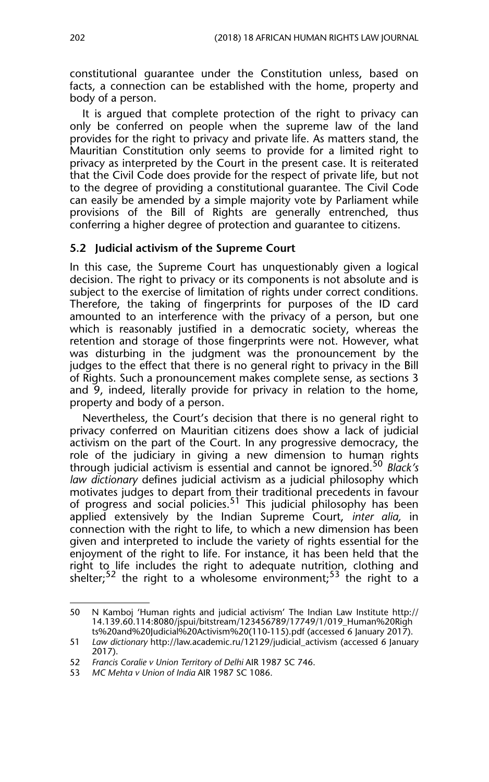constitutional guarantee under the Constitution unless, based on facts, a connection can be established with the home, property and body of a person.

It is argued that complete protection of the right to privacy can only be conferred on people when the supreme law of the land provides for the right to privacy and private life. As matters stand, the Mauritian Constitution only seems to provide for a limited right to privacy as interpreted by the Court in the present case. It is reiterated that the Civil Code does provide for the respect of private life, but not to the degree of providing a constitutional guarantee. The Civil Code can easily be amended by a simple majority vote by Parliament while provisions of the Bill of Rights are generally entrenched, thus conferring a higher degree of protection and guarantee to citizens.

#### **5.2 Judicial activism of the Supreme Court**

In this case, the Supreme Court has unquestionably given a logical decision. The right to privacy or its components is not absolute and is subject to the exercise of limitation of rights under correct conditions. Therefore, the taking of fingerprints for purposes of the ID card amounted to an interference with the privacy of a person, but one which is reasonably justified in a democratic society, whereas the retention and storage of those fingerprints were not. However, what was disturbing in the judgment was the pronouncement by the judges to the effect that there is no general right to privacy in the Bill of Rights. Such a pronouncement makes complete sense, as sections 3 and 9, indeed, literally provide for privacy in relation to the home, property and body of a person.

Nevertheless, the Court's decision that there is no general right to privacy conferred on Mauritian citizens does show a lack of judicial activism on the part of the Court. In any progressive democracy, the role of the judiciary in giving a new dimension to human rights through judicial activism is essential and cannot be ignored.<sup>50</sup> *Black's law dictionary* defines judicial activism as a judicial philosophy which motivates judges to depart from their traditional precedents in favour of progress and social policies.<sup>51</sup> This judicial philosophy has been applied extensively by the Indian Supreme Court, *inter alia,* in connection with the right to life, to which a new dimension has been given and interpreted to include the variety of rights essential for the enjoyment of the right to life. For instance, it has been held that the right to life includes the right to adequate nutrition, clothing and shelter;<sup>52</sup> the right to a wholesome environment;<sup>53</sup> the right to a

<sup>50</sup> N Kamboj 'Human rights and judicial activism' The Indian Law Institute http:// 14.139.60.114:8080/jspui/bitstream/123456789/17749/1/019\_Human%20Righ ts%20and%20Judicial%20Activism%20(110-115).pdf (accessed 6 January 2017).

<sup>51</sup> *Law dictionary* http://law.academic.ru/12129/judicial\_activism (accessed 6 January 2017).

<sup>52</sup> *Francis Coralie v Union Territory of Delhi* AIR 1987 SC 746.

<sup>53</sup> *MC Mehta v Union of India* AIR 1987 SC 1086.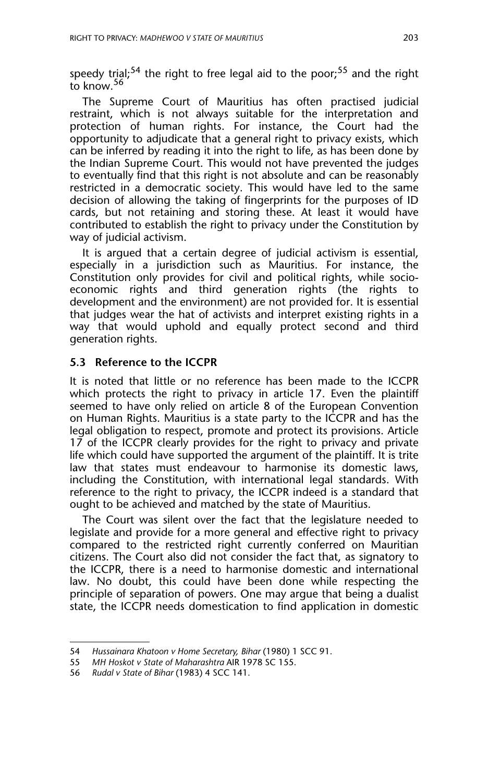speedy trial;<sup>54</sup> the right to free legal aid to the poor;<sup>55</sup> and the right to know.<sup>56</sup>

The Supreme Court of Mauritius has often practised judicial restraint, which is not always suitable for the interpretation and protection of human rights. For instance, the Court had the opportunity to adjudicate that a general right to privacy exists, which can be inferred by reading it into the right to life, as has been done by the Indian Supreme Court. This would not have prevented the judges to eventually find that this right is not absolute and can be reasonably restricted in a democratic society. This would have led to the same decision of allowing the taking of fingerprints for the purposes of ID cards, but not retaining and storing these. At least it would have contributed to establish the right to privacy under the Constitution by way of judicial activism.

It is argued that a certain degree of judicial activism is essential, especially in a jurisdiction such as Mauritius. For instance, the Constitution only provides for civil and political rights, while socioeconomic rights and third generation rights (the rights to development and the environment) are not provided for. It is essential that judges wear the hat of activists and interpret existing rights in a way that would uphold and equally protect second and third generation rights.

#### **5.3 Reference to the ICCPR**

It is noted that little or no reference has been made to the ICCPR which protects the right to privacy in article 17. Even the plaintiff seemed to have only relied on article 8 of the European Convention on Human Rights. Mauritius is a state party to the ICCPR and has the legal obligation to respect, promote and protect its provisions. Article 17 of the ICCPR clearly provides for the right to privacy and private life which could have supported the argument of the plaintiff. It is trite law that states must endeavour to harmonise its domestic laws, including the Constitution, with international legal standards. With reference to the right to privacy, the ICCPR indeed is a standard that ought to be achieved and matched by the state of Mauritius.

The Court was silent over the fact that the legislature needed to legislate and provide for a more general and effective right to privacy compared to the restricted right currently conferred on Mauritian citizens. The Court also did not consider the fact that, as signatory to the ICCPR, there is a need to harmonise domestic and international law. No doubt, this could have been done while respecting the principle of separation of powers. One may argue that being a dualist state, the ICCPR needs domestication to find application in domestic

<sup>54</sup> *Hussainara Khatoon v Home Secretary, Bihar* (1980) 1 SCC 91.

<sup>55</sup> *MH Hoskot v State of Maharashtra* AIR 1978 SC 155.

<sup>56</sup> *Rudal v State of Bihar* (1983) 4 SCC 141.